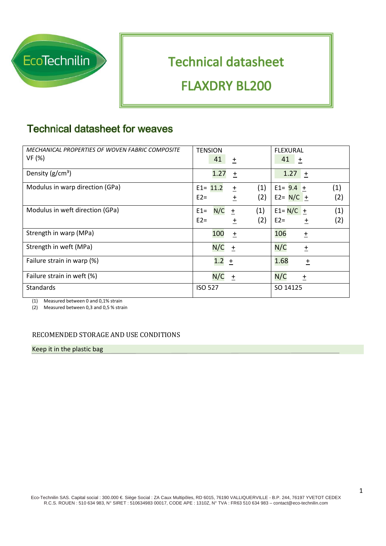

# **Technical datasheet FLAXDRY BL200**

## **Technical datasheet for weaves**

| <b>MECHANICAL PROPERTIES OF WOVEN FABRIC COMPOSITE</b><br>VF (%) | <b>TENSION</b><br>41<br>$\pm$                             | <b>FLEXURAL</b><br>41<br>土                           |
|------------------------------------------------------------------|-----------------------------------------------------------|------------------------------------------------------|
| Density $(g/cm^3)$                                               | 1.27<br>$\ddagger$                                        | 1.27<br>$+$                                          |
| Modulus in warp direction (GPa)                                  | (1)<br>$E1 = 11.2$<br>$\pm$<br>(2)<br>$E2=$<br>$\ddagger$ | (1)<br>$E1 = 9.4 +$<br>(2)<br>$E2 = N/C +$           |
| Modulus in weft direction (GPa)                                  | N/C<br>(1)<br>$E1=$<br>$\ddot{}$<br>(2)<br>$E2=$<br>土     | (1)<br>$E1 = N/C$<br>$\ddagger$<br>$E2=$<br>(2)<br>土 |
| Strength in warp (MPa)                                           | 100<br>$\pm$                                              | 106<br>$\pm$                                         |
| Strength in weft (MPa)                                           | N/C<br>土                                                  | N/C<br>$\pm$                                         |
| Failure strain in warp (%)                                       | 1.2<br>$\ddot{}$                                          | 1.68<br>$\pm$                                        |
| Failure strain in weft (%)                                       | N/C<br>土                                                  | N/C<br>$\pm$                                         |
| <b>Standards</b>                                                 | <b>ISO 527</b>                                            | SO 14125                                             |

(1) Measured between 0 and 0,1% strain

(2) Measured between 0,3 and 0,5 % strain

#### RECOMENDED STORAGE AND USE CONDITIONS

Keep it in the plastic bag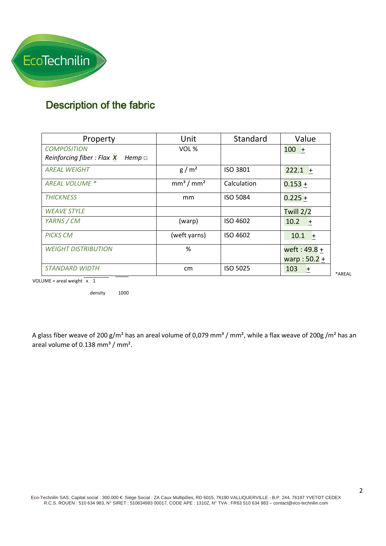

### Description of the fabric

| Property                                    | Unit                              | Standard        | Value          |
|---------------------------------------------|-----------------------------------|-----------------|----------------|
| <b>COMPOSITION</b>                          | VOL %                             |                 | $100 +$        |
| Reinforcing fiber: Flax X<br>Hemp $\square$ |                                   |                 |                |
| <b>AREAL WEIGHT</b>                         | g/m <sup>2</sup>                  | ISO 3801        | $222.1 +$      |
| <b>AREAL VOLUME *</b>                       | mm <sup>3</sup> / mm <sup>2</sup> | Calculation     | $0.153 +$      |
| <b>THICKNESS</b>                            | mm                                | <b>ISO 5084</b> | $0.225 +$      |
| <b>WEAVE STYLE</b>                          |                                   |                 | Twill 2/2      |
| YARNS / CM                                  | (warp)                            | ISO 4602        | 10.2<br>土      |
| <b>PICKS CM</b>                             | (weft yarns)                      | ISO 4602        | 10.1<br>$+$    |
| <b>WEIGHT DISTRIBUTION</b>                  | %                                 |                 | weft: $49.8 +$ |
|                                             |                                   |                 | warp: $50.2 +$ |
| <i>STANDARD WIDTH</i>                       | cm                                | <b>ISO 5025</b> | 103<br>土       |

VOLUME = areal weight  $\overline{x}$  1

density 1000

A glass fiber weave of 200 g/m<sup>2</sup> has an areal volume of 0,079 mm<sup>3</sup> / mm<sup>2</sup>, while a flax weave of 200g /m<sup>2</sup> has an areal volume of  $0.138$  mm<sup>3</sup> / mm<sup>2</sup>.